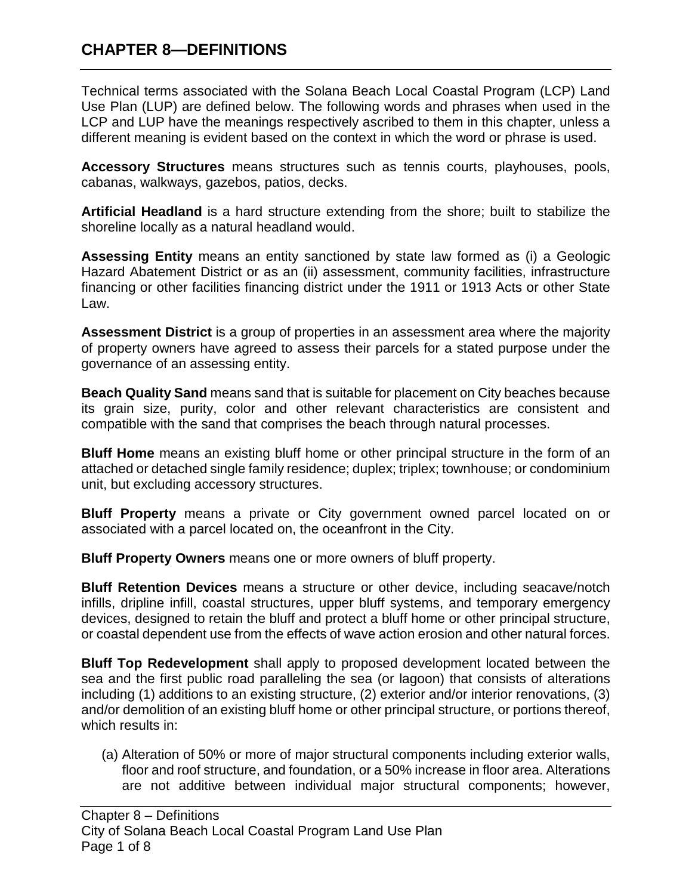Technical terms associated with the Solana Beach Local Coastal Program (LCP) Land Use Plan (LUP) are defined below. The following words and phrases when used in the LCP and LUP have the meanings respectively ascribed to them in this chapter, unless a different meaning is evident based on the context in which the word or phrase is used.

**Accessory Structures** means structures such as tennis courts, playhouses, pools, cabanas, walkways, gazebos, patios, decks.

**Artificial Headland** is a hard structure extending from the shore; built to stabilize the shoreline locally as a natural headland would.

**Assessing Entity** means an entity sanctioned by state law formed as (i) a Geologic Hazard Abatement District or as an (ii) assessment, community facilities, infrastructure financing or other facilities financing district under the 1911 or 1913 Acts or other State Law.

**Assessment District** is a group of properties in an assessment area where the majority of property owners have agreed to assess their parcels for a stated purpose under the governance of an assessing entity.

**Beach Quality Sand** means sand that is suitable for placement on City beaches because its grain size, purity, color and other relevant characteristics are consistent and compatible with the sand that comprises the beach through natural processes.

**Bluff Home** means an existing bluff home or other principal structure in the form of an attached or detached single family residence; duplex; triplex; townhouse; or condominium unit, but excluding accessory structures.

**Bluff Property** means a private or City government owned parcel located on or associated with a parcel located on, the oceanfront in the City.

**Bluff Property Owners** means one or more owners of bluff property.

**Bluff Retention Devices** means a structure or other device, including seacave/notch infills, dripline infill, coastal structures, upper bluff systems, and temporary emergency devices, designed to retain the bluff and protect a bluff home or other principal structure, or coastal dependent use from the effects of wave action erosion and other natural forces.

**Bluff Top Redevelopment** shall apply to proposed development located between the sea and the first public road paralleling the sea (or lagoon) that consists of alterations including (1) additions to an existing structure, (2) exterior and/or interior renovations, (3) and/or demolition of an existing bluff home or other principal structure, or portions thereof, which results in:

(a) Alteration of 50% or more of major structural components including exterior walls, floor and roof structure, and foundation, or a 50% increase in floor area. Alterations are not additive between individual major structural components; however,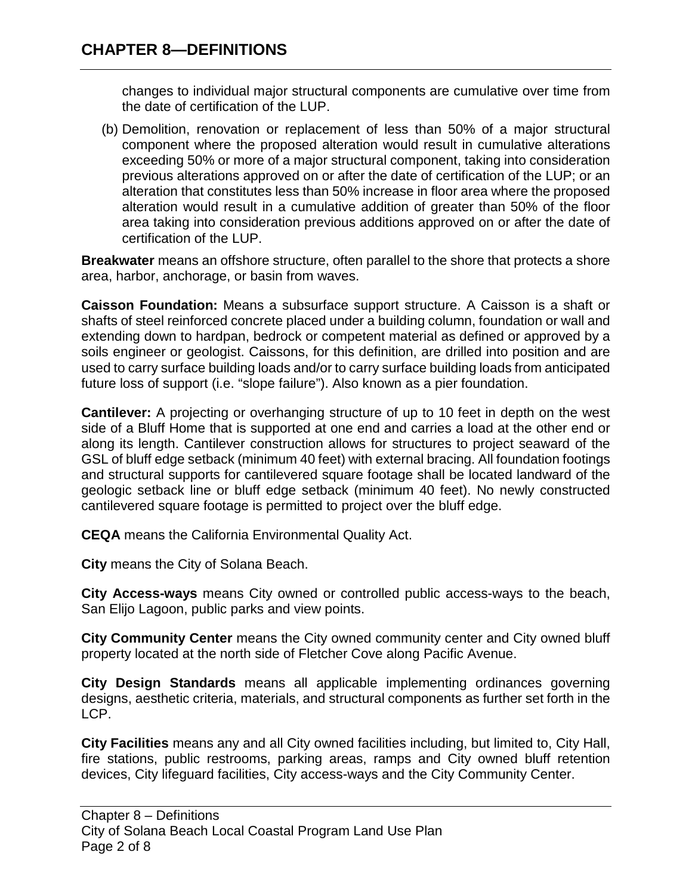changes to individual major structural components are cumulative over time from the date of certification of the LUP.

(b) Demolition, renovation or replacement of less than 50% of a major structural component where the proposed alteration would result in cumulative alterations exceeding 50% or more of a major structural component, taking into consideration previous alterations approved on or after the date of certification of the LUP; or an alteration that constitutes less than 50% increase in floor area where the proposed alteration would result in a cumulative addition of greater than 50% of the floor area taking into consideration previous additions approved on or after the date of certification of the LUP.

**Breakwater** means an offshore structure, often parallel to the shore that protects a shore area, harbor, anchorage, or basin from waves.

**Caisson Foundation:** Means a subsurface support structure. A Caisson is a shaft or shafts of steel reinforced concrete placed under a building column, foundation or wall and extending down to hardpan, bedrock or competent material as defined or approved by a soils engineer or geologist. Caissons, for this definition, are drilled into position and are used to carry surface building loads and/or to carry surface building loads from anticipated future loss of support (i.e. "slope failure"). Also known as a pier foundation.

**Cantilever:** A projecting or overhanging structure of up to 10 feet in depth on the west side of a Bluff Home that is supported at one end and carries a load at the other end or along its length. Cantilever construction allows for structures to project seaward of the GSL of bluff edge setback (minimum 40 feet) with external bracing. All foundation footings and structural supports for cantilevered square footage shall be located landward of the geologic setback line or bluff edge setback (minimum 40 feet). No newly constructed cantilevered square footage is permitted to project over the bluff edge.

**CEQA** means the California Environmental Quality Act.

**City** means the City of Solana Beach.

**City Access-ways** means City owned or controlled public access-ways to the beach, San Elijo Lagoon, public parks and view points.

**City Community Center** means the City owned community center and City owned bluff property located at the north side of Fletcher Cove along Pacific Avenue.

**City Design Standards** means all applicable implementing ordinances governing designs, aesthetic criteria, materials, and structural components as further set forth in the LCP.

**City Facilities** means any and all City owned facilities including, but limited to, City Hall, fire stations, public restrooms, parking areas, ramps and City owned bluff retention devices, City lifeguard facilities, City access-ways and the City Community Center.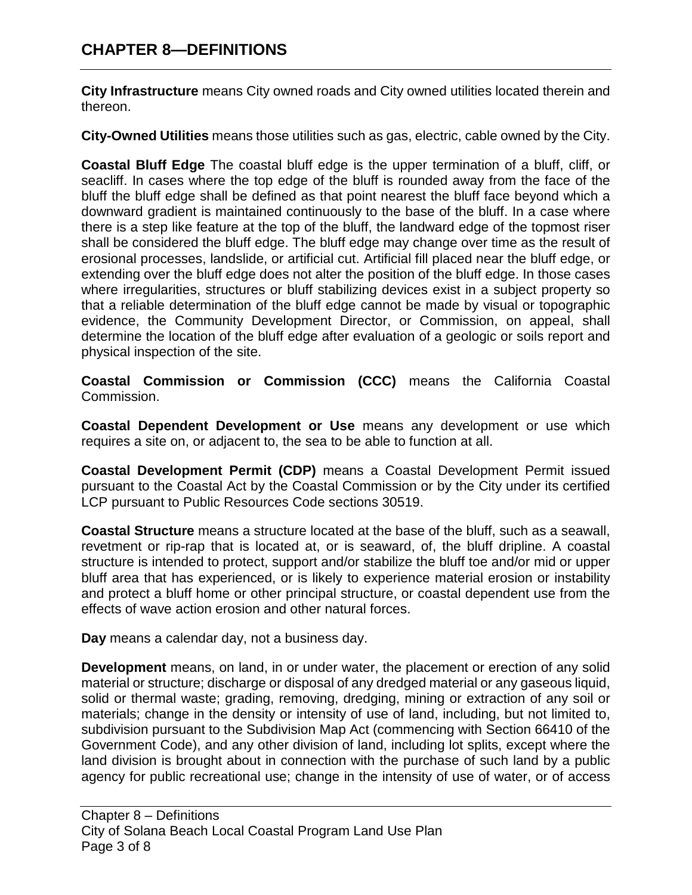**City Infrastructure** means City owned roads and City owned utilities located therein and thereon.

**City-Owned Utilities** means those utilities such as gas, electric, cable owned by the City.

**Coastal Bluff Edge** The coastal bluff edge is the upper termination of a bluff, cliff, or seacliff. In cases where the top edge of the bluff is rounded away from the face of the bluff the bluff edge shall be defined as that point nearest the bluff face beyond which a downward gradient is maintained continuously to the base of the bluff. In a case where there is a step like feature at the top of the bluff, the landward edge of the topmost riser shall be considered the bluff edge. The bluff edge may change over time as the result of erosional processes, landslide, or artificial cut. Artificial fill placed near the bluff edge, or extending over the bluff edge does not alter the position of the bluff edge. In those cases where irregularities, structures or bluff stabilizing devices exist in a subject property so that a reliable determination of the bluff edge cannot be made by visual or topographic evidence, the Community Development Director, or Commission, on appeal, shall determine the location of the bluff edge after evaluation of a geologic or soils report and physical inspection of the site.

**Coastal Commission or Commission (CCC)** means the California Coastal Commission.

**Coastal Dependent Development or Use** means any development or use which requires a site on, or adjacent to, the sea to be able to function at all.

**Coastal Development Permit (CDP)** means a Coastal Development Permit issued pursuant to the Coastal Act by the Coastal Commission or by the City under its certified LCP pursuant to Public Resources Code sections 30519.

**Coastal Structure** means a structure located at the base of the bluff, such as a seawall, revetment or rip-rap that is located at, or is seaward, of, the bluff dripline. A coastal structure is intended to protect, support and/or stabilize the bluff toe and/or mid or upper bluff area that has experienced, or is likely to experience material erosion or instability and protect a bluff home or other principal structure, or coastal dependent use from the effects of wave action erosion and other natural forces.

**Day** means a calendar day, not a business day.

**Development** means, on land, in or under water, the placement or erection of any solid material or structure; discharge or disposal of any dredged material or any gaseous liquid, solid or thermal waste; grading, removing, dredging, mining or extraction of any soil or materials; change in the density or intensity of use of land, including, but not limited to, subdivision pursuant to the Subdivision Map Act (commencing with Section 66410 of the Government Code), and any other division of land, including lot splits, except where the land division is brought about in connection with the purchase of such land by a public agency for public recreational use; change in the intensity of use of water, or of access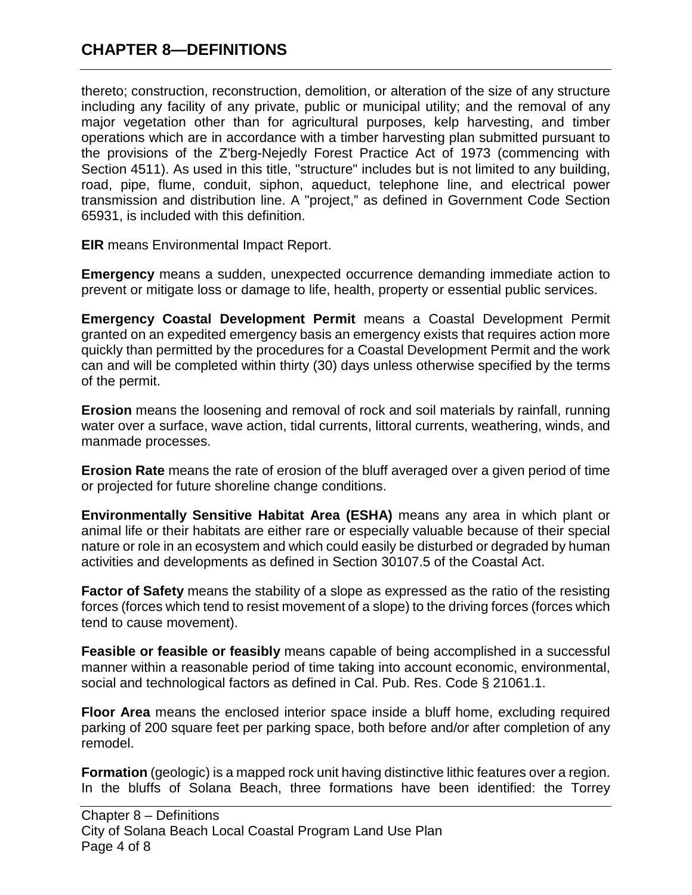thereto; construction, reconstruction, demolition, or alteration of the size of any structure including any facility of any private, public or municipal utility; and the removal of any major vegetation other than for agricultural purposes, kelp harvesting, and timber operations which are in accordance with a timber harvesting plan submitted pursuant to the provisions of the Z'berg-Nejedly Forest Practice Act of 1973 (commencing with Section 4511). As used in this title, "structure" includes but is not limited to any building, road, pipe, flume, conduit, siphon, aqueduct, telephone line, and electrical power transmission and distribution line. A "project," as defined in Government Code Section 65931, is included with this definition.

**EIR** means Environmental Impact Report.

**Emergency** means a sudden, unexpected occurrence demanding immediate action to prevent or mitigate loss or damage to life, health, property or essential public services.

**Emergency Coastal Development Permit** means a Coastal Development Permit granted on an expedited emergency basis an emergency exists that requires action more quickly than permitted by the procedures for a Coastal Development Permit and the work can and will be completed within thirty (30) days unless otherwise specified by the terms of the permit.

**Erosion** means the loosening and removal of rock and soil materials by rainfall, running water over a surface, wave action, tidal currents, littoral currents, weathering, winds, and manmade processes.

**Erosion Rate** means the rate of erosion of the bluff averaged over a given period of time or projected for future shoreline change conditions.

**Environmentally Sensitive Habitat Area (ESHA)** means any area in which plant or animal life or their habitats are either rare or especially valuable because of their special nature or role in an ecosystem and which could easily be disturbed or degraded by human activities and developments as defined in Section 30107.5 of the Coastal Act.

**Factor of Safety** means the stability of a slope as expressed as the ratio of the resisting forces (forces which tend to resist movement of a slope) to the driving forces (forces which tend to cause movement).

**Feasible or feasible or feasibly** means capable of being accomplished in a successful manner within a reasonable period of time taking into account economic, environmental, social and technological factors as defined in Cal. Pub. Res. Code § 21061.1.

**Floor Area** means the enclosed interior space inside a bluff home, excluding required parking of 200 square feet per parking space, both before and/or after completion of any remodel.

**Formation** (geologic) is a mapped rock unit having distinctive lithic features over a region. In the bluffs of Solana Beach, three formations have been identified: the Torrey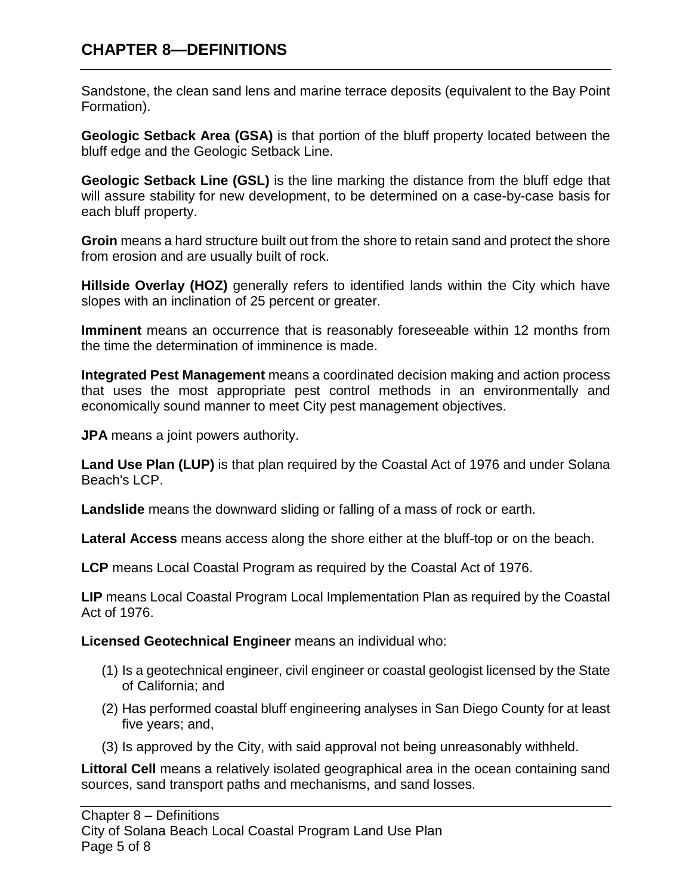Sandstone, the clean sand lens and marine terrace deposits (equivalent to the Bay Point Formation).

**Geologic Setback Area (GSA)** is that portion of the bluff property located between the bluff edge and the Geologic Setback Line.

**Geologic Setback Line (GSL)** is the line marking the distance from the bluff edge that will assure stability for new development, to be determined on a case-by-case basis for each bluff property.

**Groin** means a hard structure built out from the shore to retain sand and protect the shore from erosion and are usually built of rock.

**Hillside Overlay (HOZ)** generally refers to identified lands within the City which have slopes with an inclination of 25 percent or greater.

**Imminent** means an occurrence that is reasonably foreseeable within 12 months from the time the determination of imminence is made.

**Integrated Pest Management** means a coordinated decision making and action process that uses the most appropriate pest control methods in an environmentally and economically sound manner to meet City pest management objectives.

**JPA** means a joint powers authority.

**Land Use Plan (LUP)** is that plan required by the Coastal Act of 1976 and under Solana Beach's LCP.

**Landslide** means the downward sliding or falling of a mass of rock or earth.

**Lateral Access** means access along the shore either at the bluff-top or on the beach.

**LCP** means Local Coastal Program as required by the Coastal Act of 1976.

**LIP** means Local Coastal Program Local Implementation Plan as required by the Coastal Act of 1976.

**Licensed Geotechnical Engineer** means an individual who:

- (1) Is a geotechnical engineer, civil engineer or coastal geologist licensed by the State of California; and
- (2) Has performed coastal bluff engineering analyses in San Diego County for at least five years; and,
- (3) Is approved by the City, with said approval not being unreasonably withheld.

**Littoral Cell** means a relatively isolated geographical area in the ocean containing sand sources, sand transport paths and mechanisms, and sand losses.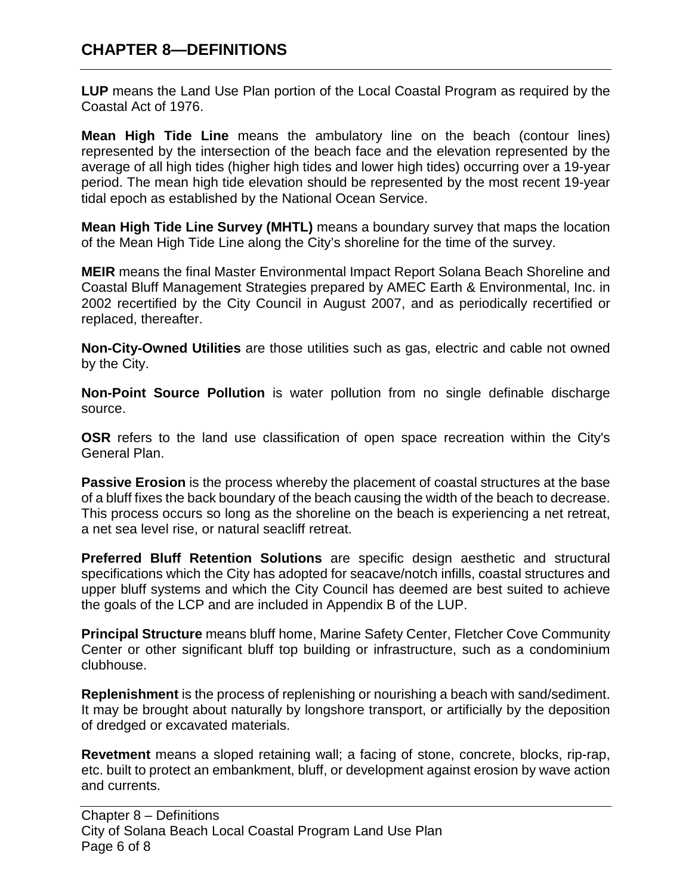**LUP** means the Land Use Plan portion of the Local Coastal Program as required by the Coastal Act of 1976.

**Mean High Tide Line** means the ambulatory line on the beach (contour lines) represented by the intersection of the beach face and the elevation represented by the average of all high tides (higher high tides and lower high tides) occurring over a 19-year period. The mean high tide elevation should be represented by the most recent 19-year tidal epoch as established by the National Ocean Service.

**Mean High Tide Line Survey (MHTL)** means a boundary survey that maps the location of the Mean High Tide Line along the City's shoreline for the time of the survey.

**MEIR** means the final Master Environmental Impact Report Solana Beach Shoreline and Coastal Bluff Management Strategies prepared by AMEC Earth & Environmental, Inc. in 2002 recertified by the City Council in August 2007, and as periodically recertified or replaced, thereafter.

**Non-City-Owned Utilities** are those utilities such as gas, electric and cable not owned by the City.

**Non-Point Source Pollution** is water pollution from no single definable discharge source.

**OSR** refers to the land use classification of open space recreation within the City's General Plan.

**Passive Erosion** is the process whereby the placement of coastal structures at the base of a bluff fixes the back boundary of the beach causing the width of the beach to decrease. This process occurs so long as the shoreline on the beach is experiencing a net retreat, a net sea level rise, or natural seacliff retreat.

**Preferred Bluff Retention Solutions** are specific design aesthetic and structural specifications which the City has adopted for seacave/notch infills, coastal structures and upper bluff systems and which the City Council has deemed are best suited to achieve the goals of the LCP and are included in Appendix B of the LUP.

**Principal Structure** means bluff home, Marine Safety Center, Fletcher Cove Community Center or other significant bluff top building or infrastructure, such as a condominium clubhouse.

**Replenishment** is the process of replenishing or nourishing a beach with sand/sediment. It may be brought about naturally by longshore transport, or artificially by the deposition of dredged or excavated materials.

**Revetment** means a sloped retaining wall; a facing of stone, concrete, blocks, rip-rap, etc. built to protect an embankment, bluff, or development against erosion by wave action and currents.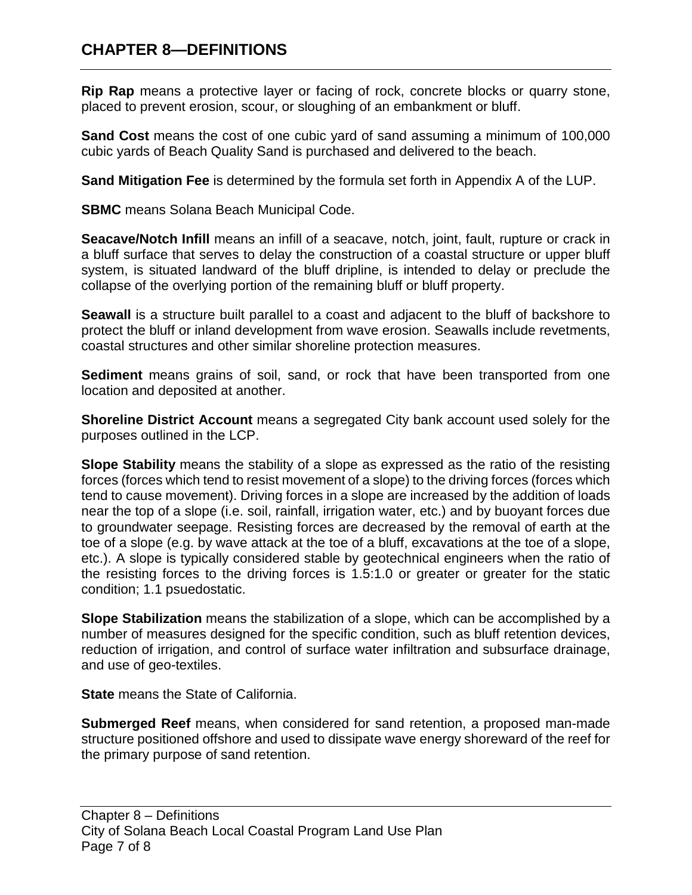**Rip Rap** means a protective layer or facing of rock, concrete blocks or quarry stone, placed to prevent erosion, scour, or sloughing of an embankment or bluff.

**Sand Cost** means the cost of one cubic yard of sand assuming a minimum of 100,000 cubic yards of Beach Quality Sand is purchased and delivered to the beach.

**Sand Mitigation Fee** is determined by the formula set forth in Appendix A of the LUP.

**SBMC** means Solana Beach Municipal Code.

**Seacave/Notch Infill** means an infill of a seacave, notch, joint, fault, rupture or crack in a bluff surface that serves to delay the construction of a coastal structure or upper bluff system, is situated landward of the bluff dripline, is intended to delay or preclude the collapse of the overlying portion of the remaining bluff or bluff property.

**Seawall** is a structure built parallel to a coast and adjacent to the bluff of backshore to protect the bluff or inland development from wave erosion. Seawalls include revetments, coastal structures and other similar shoreline protection measures.

**Sediment** means grains of soil, sand, or rock that have been transported from one location and deposited at another.

**Shoreline District Account** means a segregated City bank account used solely for the purposes outlined in the LCP.

**Slope Stability** means the stability of a slope as expressed as the ratio of the resisting forces (forces which tend to resist movement of a slope) to the driving forces (forces which tend to cause movement). Driving forces in a slope are increased by the addition of loads near the top of a slope (i.e. soil, rainfall, irrigation water, etc.) and by buoyant forces due to groundwater seepage. Resisting forces are decreased by the removal of earth at the toe of a slope (e.g. by wave attack at the toe of a bluff, excavations at the toe of a slope, etc.). A slope is typically considered stable by geotechnical engineers when the ratio of the resisting forces to the driving forces is 1.5:1.0 or greater or greater for the static condition; 1.1 psuedostatic.

**Slope Stabilization** means the stabilization of a slope, which can be accomplished by a number of measures designed for the specific condition, such as bluff retention devices, reduction of irrigation, and control of surface water infiltration and subsurface drainage, and use of geo-textiles.

**State** means the State of California.

**Submerged Reef** means, when considered for sand retention, a proposed man-made structure positioned offshore and used to dissipate wave energy shoreward of the reef for the primary purpose of sand retention.